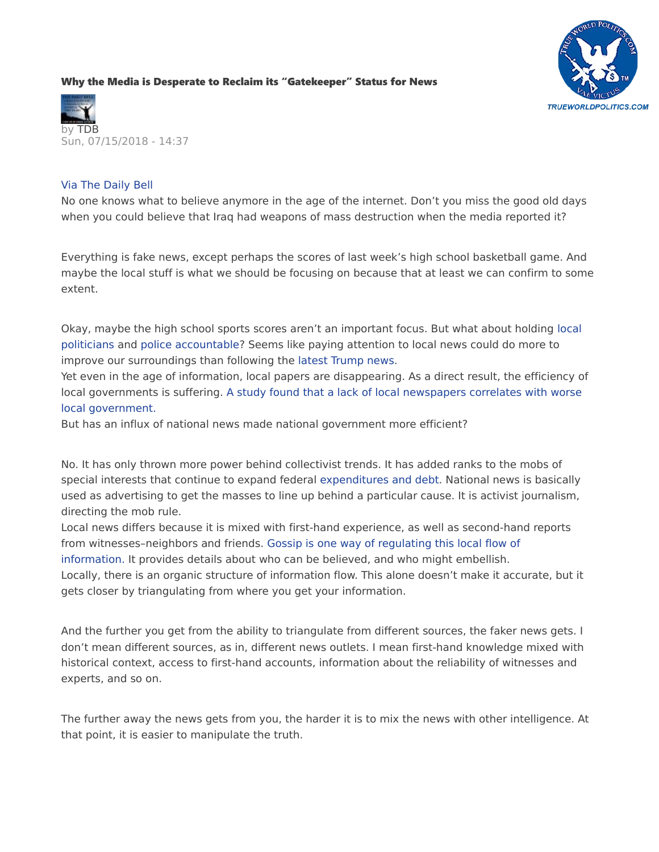## [Why the Media is Desperate to Reclaim its "Gatekeeper" Status for News](https://www.thedailybell.com/all-articles/news-analysis/why-the-media-is-desperate-to-reclaim-its-gatekeeper-status-for-news/)





## Via The Daily Bell

No one knows what to believe anymore in the age of the internet. Don't you miss the good old days when you could believe that Iraq had weapons of mass destruction when the media reported it?

Everything is fake news, except perhaps the scores of last week's high school basketball game. And maybe the local stuff is what we should be focusing on because that at least we can confirm to some extent.

Okay, maybe the high school sports scores aren't an important focus. But what about holding [local](http://www.thedailybell.com/all-articles/news-analysis/7-years-of-work-on-food-forest-destroyed-over-permit/)  [politicians](http://www.thedailybell.com/all-articles/news-analysis/7-years-of-work-on-food-forest-destroyed-over-permit/) and [police accountable?](http://www.thedailybell.com/all-articles/news-analysis/brave-police-save-town-from-man-selling-veggies/) Seems like paying attention to local news could do more to improve our surroundings than following the [latest Trump news.](http://www.thedailybell.com/all-articles/news-analysis/headlines-like-these-are-why-trump-isnt-worried/)

Yet even in the age of information, local papers are disappearing. As a direct result, the efficiency of local governments is suffering. [A study found that a lack of local newspapers correlates with worse](http://www.thedailybell.com/all-articles/news-analysis/6-facts-what-happens-when-local-newspapers-shut-down/)  [local government.](http://www.thedailybell.com/all-articles/news-analysis/6-facts-what-happens-when-local-newspapers-shut-down/)

But has an influx of national news made national government more efficient?

No. It has only thrown more power behind collectivist trends. It has added ranks to the mobs of special interests that continue to expand federal [expenditures and debt.](http://www.thedailybell.com/all-articles/news-analysis/the-root-of-the-debt-crisis-every-1-in-debt-generates-just-44-cents-of-economic-output/) National news is basically used as advertising to get the masses to line up behind a particular cause. It is activist journalism, directing the mob rule.

Local news differs because it is mixed with first-hand experience, as well as second-hand reports from witnesses–neighbors and friends. [Gossip is one way of regulating this local flow of](http://www.thedailybell.com/all-articles/news-analysis/how-society-grew-cold-dependence-on-cold-institutions/) 

[information.](http://www.thedailybell.com/all-articles/news-analysis/how-society-grew-cold-dependence-on-cold-institutions/) It provides details about who can be believed, and who might embellish.

Locally, there is an organic structure of information flow. This alone doesn't make it accurate, but it gets closer by triangulating from where you get your information.

And the further you get from the ability to triangulate from different sources, the faker news gets. I don't mean different sources, as in, different news outlets. I mean first-hand knowledge mixed with historical context, access to first-hand accounts, information about the reliability of witnesses and experts, and so on.

The further away the news gets from you, the harder it is to mix the news with other intelligence. At that point, it is easier to manipulate the truth.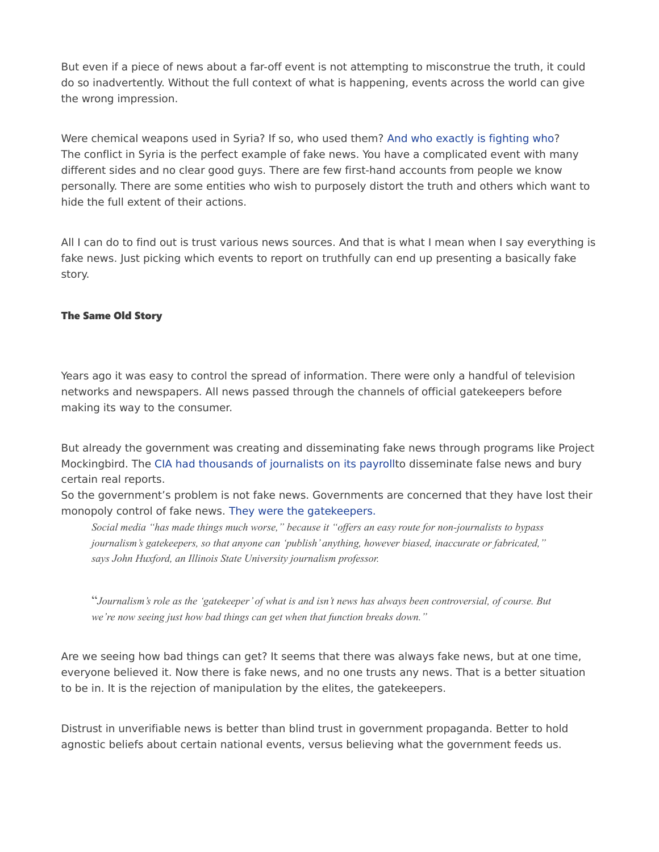But even if a piece of news about a far-off event is not attempting to misconstrue the truth, it could do so inadvertently. Without the full context of what is happening, events across the world can give the wrong impression.

Were chemical weapons used in Syria? If so, who used them? [And who exactly is fighting who?](http://www.thedailybell.com/all-articles/news-analysis/world-war-iii-the-false-narrative-that-fuels-conflict-in-syria-and-beyond/) The conflict in Syria is the perfect example of fake news. You have a complicated event with many different sides and no clear good guys. There are few first-hand accounts from people we know personally. There are some entities who wish to purposely distort the truth and others which want to hide the full extent of their actions.

All I can do to find out is trust various news sources. And that is what I mean when I say everything is fake news. Just picking which events to report on truthfully can end up presenting a basically fake story.

## The Same Old Story

Years ago it was easy to control the spread of information. There were only a handful of television networks and newspapers. All news passed through the channels of official gatekeepers before making its way to the consumer.

But already the government was creating and disseminating fake news through programs like Project Mockingbird. The [CIA had thousands of journalists on its payrollt](https://amzn.to/2umAT0a)o disseminate false news and bury certain real reports.

So the government's problem is not fake news. Governments are concerned that they have lost their monopoly control of fake news. [They were the gatekeepers.](https://www.yahoo.com/news/fake-news-media-industry-strikes-back-032610136.html)

*Social media "has made things much worse," because it "offers an easy route for non-journalists to bypass journalism's gatekeepers, so that anyone can 'publish' anything, however biased, inaccurate or fabricated," says John Huxford, an Illinois State University journalism professor.*

"*Journalism's role as the 'gatekeeper' of what is and isn't news has always been controversial, of course. But we're now seeing just how bad things can get when that function breaks down."*

Are we seeing how bad things can get? It seems that there was always fake news, but at one time, everyone believed it. Now there is fake news, and no one trusts any news. That is a better situation to be in. It is the rejection of manipulation by the elites, the gatekeepers.

Distrust in unverifiable news is better than blind trust in government propaganda. Better to hold agnostic beliefs about certain national events, versus believing what the government feeds us.